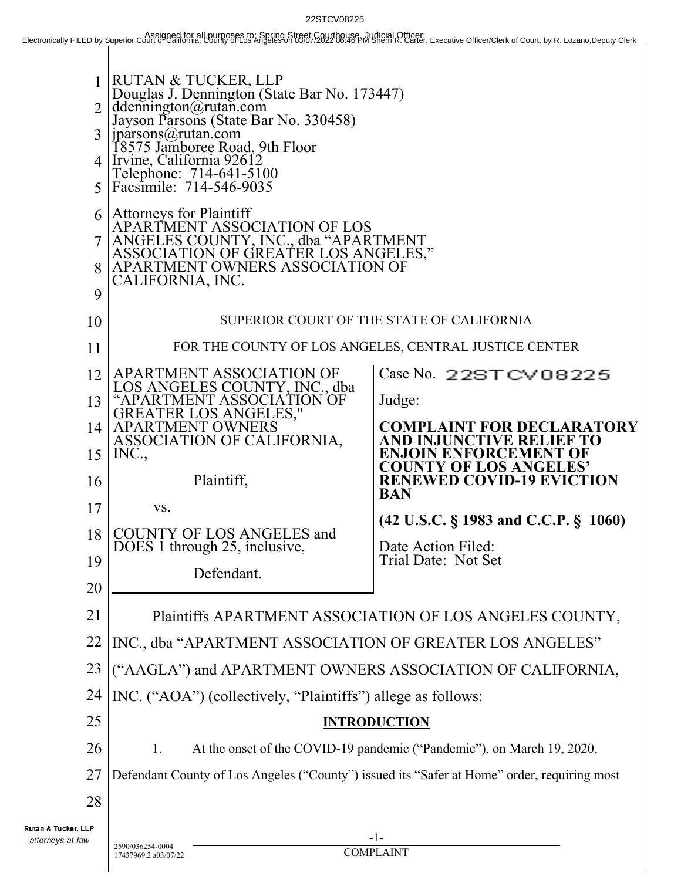22STCV08225<br>Electronically FILED by Superior Court of Cassigned for all purposes to: Spring Street Cassignes of Street Assume During Street Agency Decktonically FILED by Superior Court of Genuty Clerk

| 1 <sup>1</sup><br>$\overline{2}$<br>3 <sup>1</sup><br>5 <sup>1</sup> | RUTAN & TUCKER, LLP<br>Douglas J. Dennington (State Bar No. 173447)<br>ddennington@rutan.com<br>Jayson Parsons (State Bar No. 330458)<br>jparsons@rutan.com<br>18575 Jamboree Road, 9th Floor<br>4 Irvine, California 92612<br>Telephone: 714-641-5100<br>Facsimile: 714-546-9035 |                                                               |  |
|----------------------------------------------------------------------|-----------------------------------------------------------------------------------------------------------------------------------------------------------------------------------------------------------------------------------------------------------------------------------|---------------------------------------------------------------|--|
| 6 I<br>8<br>9                                                        | <b>Attorneys for Plaintiff</b><br>APARTMENT ASSOCIATION OF LOS<br>ANGELES COUNTY, INC., dba "APARTMENT<br>ASSOCIATION OF GREATER LOS ANGELES,"<br>APARTMENT OWNERS ASSOCIATION OF<br>CALIFORNIA, INC.                                                                             |                                                               |  |
| 10                                                                   | SUPERIOR COURT OF THE STATE OF CALIFORNIA                                                                                                                                                                                                                                         |                                                               |  |
| 11                                                                   |                                                                                                                                                                                                                                                                                   | FOR THE COUNTY OF LOS ANGELES, CENTRAL JUSTICE CENTER         |  |
| 12                                                                   | APARTMENT ASSOCIATION OF<br>LOS ANGELES COUNTY, INC., dba                                                                                                                                                                                                                         | Case No. 22STCV08225                                          |  |
| 13                                                                   | "APARTMENT ASSOCIATION OF                                                                                                                                                                                                                                                         | Judge:                                                        |  |
| 14                                                                   | GREATER LOS ANGELES,"<br>APARTMENT OWNERS<br>ASSOCIATION OF CALIFORNIA,                                                                                                                                                                                                           | <b>COMPLAINT FOR DECLARATORY</b><br>AND INJUNCTIVE RELIEF TO  |  |
| 15                                                                   | INC.,                                                                                                                                                                                                                                                                             | <b>ENJOIN ENFORCEMENT OF</b><br><b>COUNTY OF LOS ANGELES'</b> |  |
| 16                                                                   | Plaintiff,                                                                                                                                                                                                                                                                        | <b>RENEWED COVID-19 EVICTION</b><br><b>BAN</b>                |  |
| 17                                                                   | VS.                                                                                                                                                                                                                                                                               | $(42 \text{ U.S.C.} \S 1983 \text{ and C.C.P.} \S 1060)$      |  |
| 18                                                                   | <b>COUNTY OF LOS ANGELES and</b><br>DOES 1 through 25, inclusive,                                                                                                                                                                                                                 | Date Action Filed:                                            |  |
| 19                                                                   | Defendant.                                                                                                                                                                                                                                                                        | Trial Date: Not Set                                           |  |
| 20                                                                   |                                                                                                                                                                                                                                                                                   |                                                               |  |
| 21                                                                   | Plaintiffs APARTMENT ASSOCIATION OF LOS ANGELES COUNTY,                                                                                                                                                                                                                           |                                                               |  |
| 22                                                                   | INC., dba "APARTMENT ASSOCIATION OF GREATER LOS ANGELES"                                                                                                                                                                                                                          |                                                               |  |
| 23                                                                   | ("AAGLA") and APARTMENT OWNERS ASSOCIATION OF CALIFORNIA,                                                                                                                                                                                                                         |                                                               |  |
| 24                                                                   | INC. ("AOA") (collectively, "Plaintiffs") allege as follows:                                                                                                                                                                                                                      |                                                               |  |
| 25                                                                   | <b>INTRODUCTION</b>                                                                                                                                                                                                                                                               |                                                               |  |
| 26                                                                   | At the onset of the COVID-19 pandemic ("Pandemic"), on March 19, 2020,<br>1.                                                                                                                                                                                                      |                                                               |  |
| 27                                                                   | Defendant County of Los Angeles ("County") issued its "Safer at Home" order, requiring most                                                                                                                                                                                       |                                                               |  |
| 28                                                                   |                                                                                                                                                                                                                                                                                   |                                                               |  |
| Rutan & Tucker, LLP<br>attorneys at law                              | 2590/036254-0004                                                                                                                                                                                                                                                                  | -1-                                                           |  |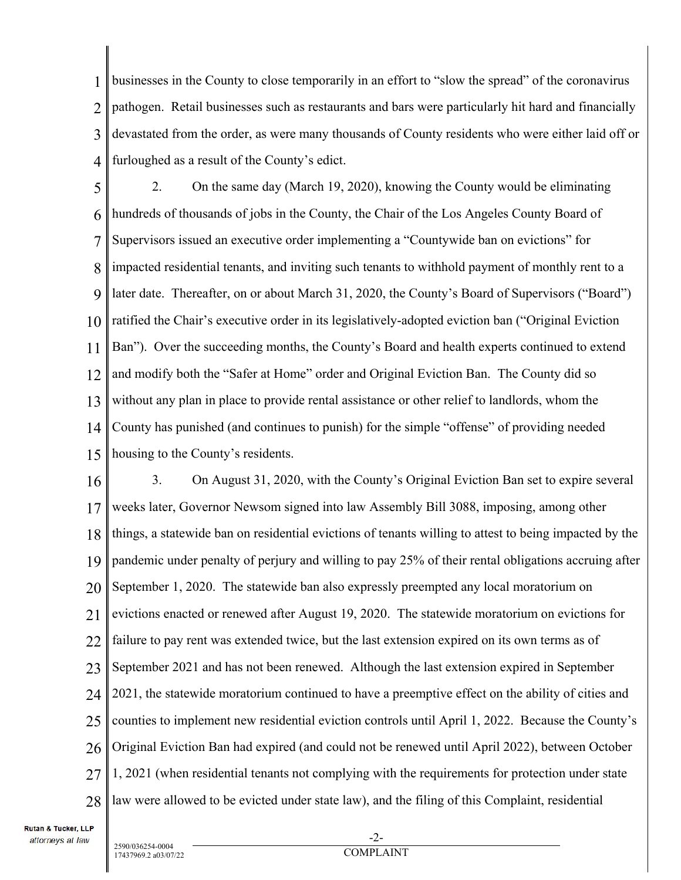1 2 3 4 businesses in the County to close temporarily in an effort to "slow the spread" of the coronavirus pathogen. Retail businesses such as restaurants and bars were particularly hit hard and financially devastated from the order, as were many thousands of County residents who were either laid off or furloughed as a result of the County's edict.

5 6 7 8 9 10 11 12 13 14 15 2. On the same day (March 19, 2020), knowing the County would be eliminating hundreds of thousands of jobs in the County, the Chair of the Los Angeles County Board of Supervisors issued an executive order implementing a "Countywide ban on evictions" for impacted residential tenants, and inviting such tenants to withhold payment of monthly rent to a later date. Thereafter, on or about March 31, 2020, the County's Board of Supervisors ("Board") ratified the Chair's executive order in its legislatively-adopted eviction ban ("Original Eviction Ban"). Over the succeeding months, the County's Board and health experts continued to extend and modify both the "Safer at Home" order and Original Eviction Ban. The County did so without any plan in place to provide rental assistance or other relief to landlords, whom the County has punished (and continues to punish) for the simple "offense" of providing needed housing to the County's residents.

16 17 18 19 20 21 22 23 24 25 26 27 28 3. On August 31, 2020, with the County's Original Eviction Ban set to expire several weeks later, Governor Newsom signed into law Assembly Bill 3088, imposing, among other things, a statewide ban on residential evictions of tenants willing to attest to being impacted by the pandemic under penalty of perjury and willing to pay 25% of their rental obligations accruing after September 1, 2020. The statewide ban also expressly preempted any local moratorium on evictions enacted or renewed after August 19, 2020. The statewide moratorium on evictions for failure to pay rent was extended twice, but the last extension expired on its own terms as of September 2021 and has not been renewed. Although the last extension expired in September 2021, the statewide moratorium continued to have a preemptive effect on the ability of cities and counties to implement new residential eviction controls until April 1, 2022. Because the County's Original Eviction Ban had expired (and could not be renewed until April 2022), between October 1, 2021 (when residential tenants not complying with the requirements for protection under state law were allowed to be evicted under state law), and the filing of this Complaint, residential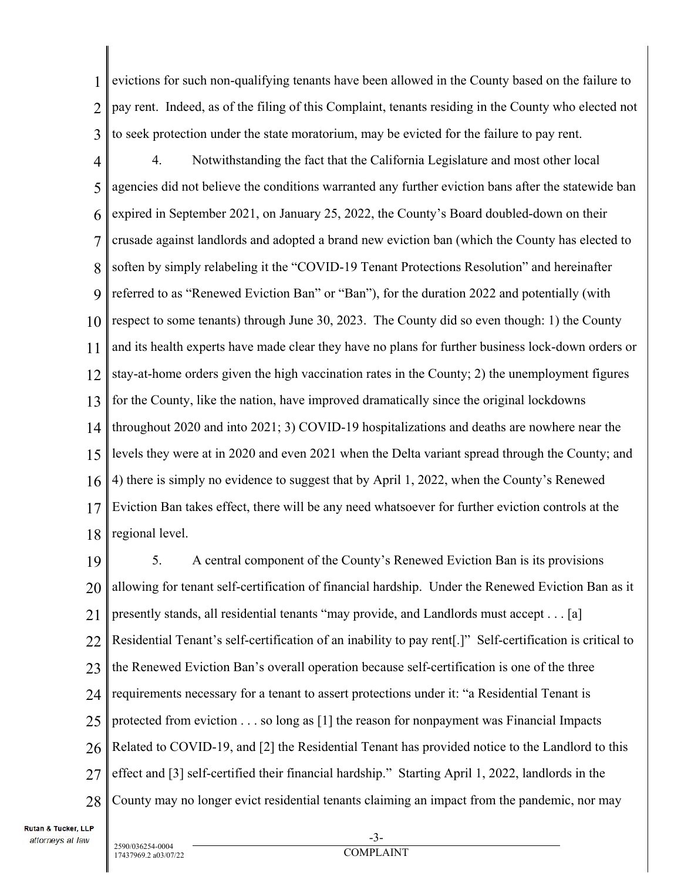1 2 3 evictions for such non-qualifying tenants have been allowed in the County based on the failure to pay rent. Indeed, as of the filing of this Complaint, tenants residing in the County who elected not to seek protection under the state moratorium, may be evicted for the failure to pay rent.

4 5 6 7 8 9 10 11 12 13 14 15 16 17 18 4. Notwithstanding the fact that the California Legislature and most other local agencies did not believe the conditions warranted any further eviction bans after the statewide ban expired in September 2021, on January 25, 2022, the County's Board doubled-down on their crusade against landlords and adopted a brand new eviction ban (which the County has elected to soften by simply relabeling it the "COVID-19 Tenant Protections Resolution" and hereinafter referred to as "Renewed Eviction Ban" or "Ban"), for the duration 2022 and potentially (with respect to some tenants) through June 30, 2023. The County did so even though: 1) the County and its health experts have made clear they have no plans for further business lock-down orders or stay-at-home orders given the high vaccination rates in the County; 2) the unemployment figures for the County, like the nation, have improved dramatically since the original lockdowns throughout 2020 and into 2021; 3) COVID-19 hospitalizations and deaths are nowhere near the levels they were at in 2020 and even 2021 when the Delta variant spread through the County; and 4) there is simply no evidence to suggest that by April 1, 2022, when the County's Renewed Eviction Ban takes effect, there will be any need whatsoever for further eviction controls at the regional level.

19 20 21 22 23 24 25 26 27 28 5. A central component of the County's Renewed Eviction Ban is its provisions allowing for tenant self-certification of financial hardship. Under the Renewed Eviction Ban as it presently stands, all residential tenants "may provide, and Landlords must accept . . . [a] Residential Tenant's self-certification of an inability to pay rent[.]" Self-certification is critical to the Renewed Eviction Ban's overall operation because self-certification is one of the three requirements necessary for a tenant to assert protections under it: "a Residential Tenant is protected from eviction . . . so long as [1] the reason for nonpayment was Financial Impacts Related to COVID-19, and [2] the Residential Tenant has provided notice to the Landlord to this effect and [3] self-certified their financial hardship." Starting April 1, 2022, landlords in the County may no longer evict residential tenants claiming an impact from the pandemic, nor may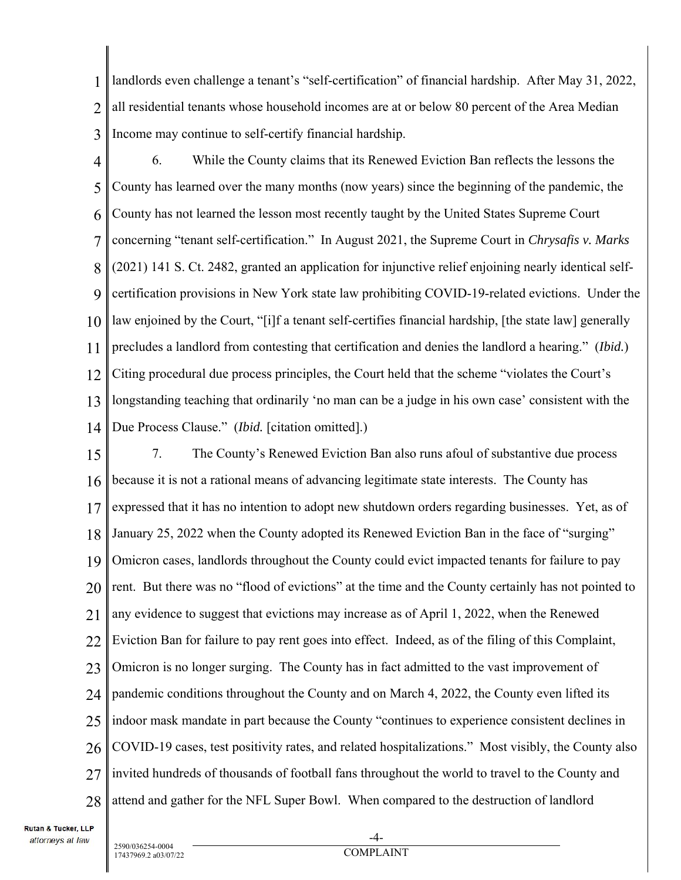1 2 3 landlords even challenge a tenant's "self-certification" of financial hardship. After May 31, 2022, all residential tenants whose household incomes are at or below 80 percent of the Area Median Income may continue to self-certify financial hardship.

- 4 5 6 7 8 9 10 11 12 13 6. While the County claims that its Renewed Eviction Ban reflects the lessons the County has learned over the many months (now years) since the beginning of the pandemic, the County has not learned the lesson most recently taught by the United States Supreme Court concerning "tenant self-certification." In August 2021, the Supreme Court in *Chrysafis v. Marks* (2021) 141 S. Ct. 2482, granted an application for injunctive relief enjoining nearly identical selfcertification provisions in New York state law prohibiting COVID-19-related evictions. Under the law enjoined by the Court, "[i]f a tenant self-certifies financial hardship, [the state law] generally precludes a landlord from contesting that certification and denies the landlord a hearing." (*Ibid.*) Citing procedural due process principles, the Court held that the scheme "violates the Court's longstanding teaching that ordinarily 'no man can be a judge in his own case' consistent with the
- 14 Due Process Clause." *(Ibid.* [citation omitted].)

15 16 17 18 19 20 21 22 23 24 25 26 27 28 7. The County's Renewed Eviction Ban also runs afoul of substantive due process because it is not a rational means of advancing legitimate state interests. The County has expressed that it has no intention to adopt new shutdown orders regarding businesses. Yet, as of January 25, 2022 when the County adopted its Renewed Eviction Ban in the face of "surging" Omicron cases, landlords throughout the County could evict impacted tenants for failure to pay rent. But there was no "flood of evictions" at the time and the County certainly has not pointed to any evidence to suggest that evictions may increase as of April 1, 2022, when the Renewed Eviction Ban for failure to pay rent goes into effect. Indeed, as of the filing of this Complaint, Omicron is no longer surging. The County has in fact admitted to the vast improvement of pandemic conditions throughout the County and on March 4, 2022, the County even lifted its indoor mask mandate in part because the County "continues to experience consistent declines in COVID-19 cases, test positivity rates, and related hospitalizations." Most visibly, the County also invited hundreds of thousands of football fans throughout the world to travel to the County and attend and gather for the NFL Super Bowl. When compared to the destruction of landlord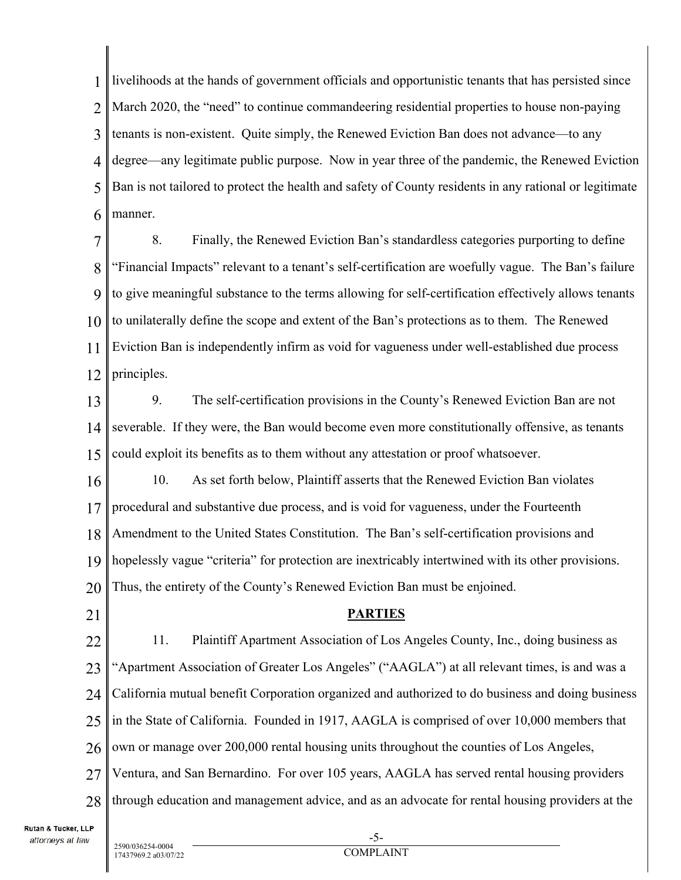1 2 3 4 5 6 livelihoods at the hands of government officials and opportunistic tenants that has persisted since March 2020, the "need" to continue commandeering residential properties to house non-paying tenants is non-existent. Quite simply, the Renewed Eviction Ban does not advance—to any degree—any legitimate public purpose. Now in year three of the pandemic, the Renewed Eviction Ban is not tailored to protect the health and safety of County residents in any rational or legitimate manner.

7 8 9 10 11 12 8. Finally, the Renewed Eviction Ban's standardless categories purporting to define "Financial Impacts" relevant to a tenant's self-certification are woefully vague. The Ban's failure to give meaningful substance to the terms allowing for self-certification effectively allows tenants to unilaterally define the scope and extent of the Ban's protections as to them. The Renewed Eviction Ban is independently infirm as void for vagueness under well-established due process principles.

13 14 15 9. The self-certification provisions in the County's Renewed Eviction Ban are not severable. If they were, the Ban would become even more constitutionally offensive, as tenants could exploit its benefits as to them without any attestation or proof whatsoever.

16 17 18 19 20 10. As set forth below, Plaintiff asserts that the Renewed Eviction Ban violates procedural and substantive due process, and is void for vagueness, under the Fourteenth Amendment to the United States Constitution. The Ban's self-certification provisions and hopelessly vague "criteria" for protection are inextricably intertwined with its other provisions. Thus, the entirety of the County's Renewed Eviction Ban must be enjoined.

21

#### **PARTIES**

22 23 24 25 26 27 28 11. Plaintiff Apartment Association of Los Angeles County, Inc., doing business as "Apartment Association of Greater Los Angeles" ("AAGLA") at all relevant times, is and was a California mutual benefit Corporation organized and authorized to do business and doing business in the State of California. Founded in 1917, AAGLA is comprised of over 10,000 members that own or manage over 200,000 rental housing units throughout the counties of Los Angeles, Ventura, and San Bernardino. For over 105 years, AAGLA has served rental housing providers through education and management advice, and as an advocate for rental housing providers at the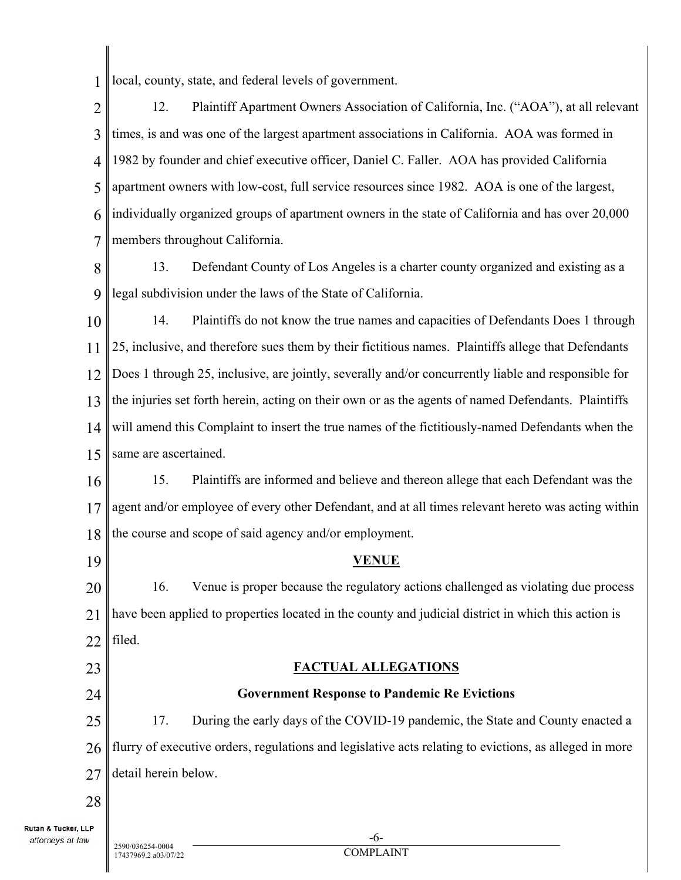1 local, county, state, and federal levels of government.

2 3 4 5 6 7 12. Plaintiff Apartment Owners Association of California, Inc. ("AOA"), at all relevant times, is and was one of the largest apartment associations in California. AOA was formed in 1982 by founder and chief executive officer, Daniel C. Faller. AOA has provided California apartment owners with low-cost, full service resources since 1982. AOA is one of the largest, individually organized groups of apartment owners in the state of California and has over 20,000 members throughout California.

8 9 13. Defendant County of Los Angeles is a charter county organized and existing as a legal subdivision under the laws of the State of California.

10 11 12 13 14 15 14. Plaintiffs do not know the true names and capacities of Defendants Does 1 through 25, inclusive, and therefore sues them by their fictitious names. Plaintiffs allege that Defendants Does 1 through 25, inclusive, are jointly, severally and/or concurrently liable and responsible for the injuries set forth herein, acting on their own or as the agents of named Defendants. Plaintiffs will amend this Complaint to insert the true names of the fictitiously-named Defendants when the same are ascertained.

16 17 18 15. Plaintiffs are informed and believe and thereon allege that each Defendant was the agent and/or employee of every other Defendant, and at all times relevant hereto was acting within the course and scope of said agency and/or employment.

19

23

24

## **VENUE**

20 21 22 16. Venue is proper because the regulatory actions challenged as violating due process have been applied to properties located in the county and judicial district in which this action is filed.

## **FACTUAL ALLEGATIONS**

# **Government Response to Pandemic Re Evictions**

25 26 27 17. During the early days of the COVID-19 pandemic, the State and County enacted a flurry of executive orders, regulations and legislative acts relating to evictions, as alleged in more detail herein below.

28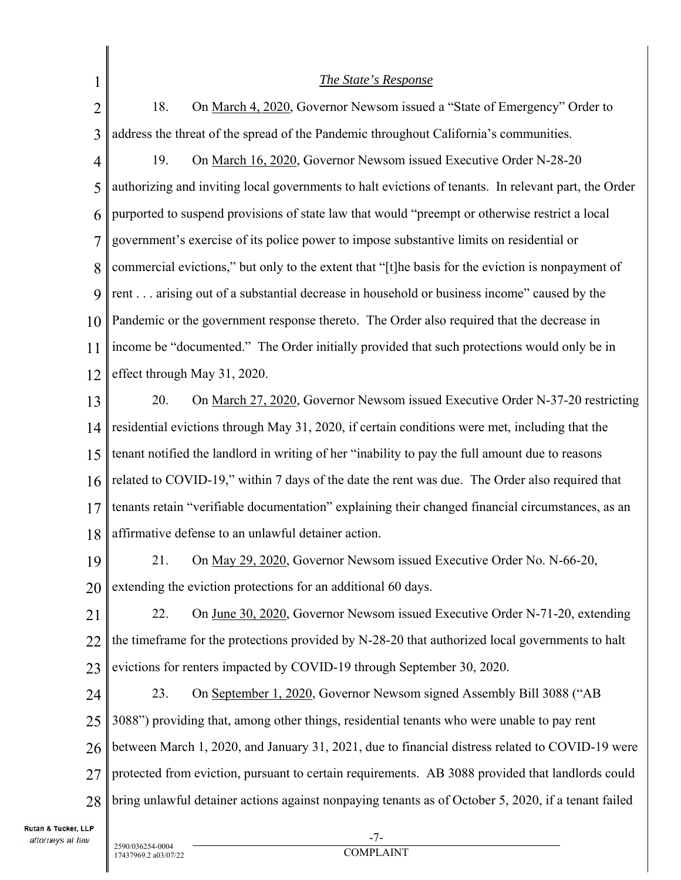| 1              | The State's Response                                                                                 |  |  |
|----------------|------------------------------------------------------------------------------------------------------|--|--|
| $\overline{2}$ | 18.<br>On March 4, 2020, Governor Newsom issued a "State of Emergency" Order to                      |  |  |
| 3              | address the threat of the spread of the Pandemic throughout California's communities.                |  |  |
| 4              | 19.<br>On March 16, 2020, Governor Newsom issued Executive Order N-28-20                             |  |  |
| 5              | authorizing and inviting local governments to halt evictions of tenants. In relevant part, the Order |  |  |
| 6              | purported to suspend provisions of state law that would "preempt or otherwise restrict a local       |  |  |
| 7              | government's exercise of its police power to impose substantive limits on residential or             |  |  |
| 8              | commercial evictions," but only to the extent that "[t]he basis for the eviction is nonpayment of    |  |  |
| 9              | rent arising out of a substantial decrease in household or business income" caused by the            |  |  |
| 10             | Pandemic or the government response thereto. The Order also required that the decrease in            |  |  |
| 11             | income be "documented." The Order initially provided that such protections would only be in          |  |  |
| 12             | effect through May 31, 2020.                                                                         |  |  |
| 13             | 20.<br>On March 27, 2020, Governor Newsom issued Executive Order N-37-20 restricting                 |  |  |
| 14             | residential evictions through May 31, 2020, if certain conditions were met, including that the       |  |  |
| 15             | tenant notified the landlord in writing of her "inability to pay the full amount due to reasons      |  |  |
| 16             | related to COVID-19," within 7 days of the date the rent was due. The Order also required that       |  |  |
| 17             | tenants retain "verifiable documentation" explaining their changed financial circumstances, as an    |  |  |
| 18             | affirmative defense to an unlawful detainer action.                                                  |  |  |
| 19             | 21. On May 29, 2020, Governor Newsom issued Executive Order No. N-66-20,                             |  |  |
| 20             | extending the eviction protections for an additional 60 days.                                        |  |  |
| 21             | On June 30, 2020, Governor Newsom issued Executive Order N-71-20, extending<br>22.                   |  |  |
| 22             | the timeframe for the protections provided by N-28-20 that authorized local governments to halt      |  |  |
| 23             | evictions for renters impacted by COVID-19 through September 30, 2020.                               |  |  |
| 24             | 23.<br>On September 1, 2020, Governor Newsom signed Assembly Bill 3088 ("AB                          |  |  |
| 25             | 3088") providing that, among other things, residential tenants who were unable to pay rent           |  |  |
| 26             | between March 1, 2020, and January 31, 2021, due to financial distress related to COVID-19 were      |  |  |
| 27             | protected from eviction, pursuant to certain requirements. AB 3088 provided that landlords could     |  |  |
| 28             | bring unlawful detainer actions against nonpaying tenants as of October 5, 2020, if a tenant failed  |  |  |
| <b>TTP</b>     |                                                                                                      |  |  |

 $\mathbb I$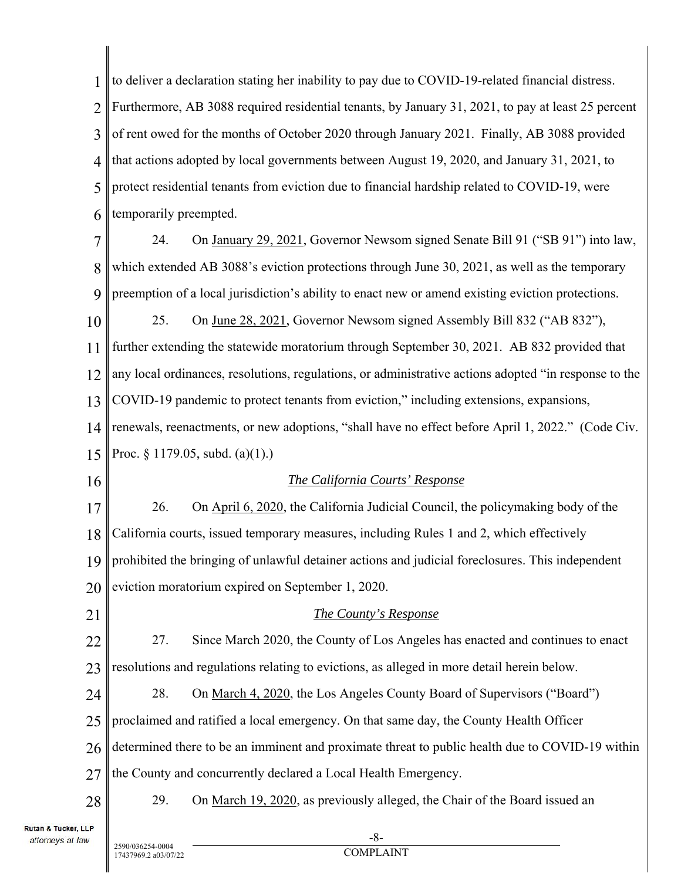1 2 3 4 5 6 to deliver a declaration stating her inability to pay due to COVID-19-related financial distress. Furthermore, AB 3088 required residential tenants, by January 31, 2021, to pay at least 25 percent of rent owed for the months of October 2020 through January 2021. Finally, AB 3088 provided that actions adopted by local governments between August 19, 2020, and January 31, 2021, to protect residential tenants from eviction due to financial hardship related to COVID-19, were temporarily preempted.

7 8 9 24. On January 29, 2021, Governor Newsom signed Senate Bill 91 ("SB 91") into law, which extended AB 3088's eviction protections through June 30, 2021, as well as the temporary preemption of a local jurisdiction's ability to enact new or amend existing eviction protections.

10 11 12 13 14 25. On June 28, 2021, Governor Newsom signed Assembly Bill 832 ("AB 832"), further extending the statewide moratorium through September 30, 2021. AB 832 provided that any local ordinances, resolutions, regulations, or administrative actions adopted "in response to the COVID-19 pandemic to protect tenants from eviction," including extensions, expansions, renewals, reenactments, or new adoptions, "shall have no effect before April 1, 2022." (Code Civ.

15 Proc. § 1179.05, subd. (a)(1).)

16

### *The California Courts' Response*

17 18 19 20 26. On April 6, 2020, the California Judicial Council, the policymaking body of the California courts, issued temporary measures, including Rules 1 and 2, which effectively prohibited the bringing of unlawful detainer actions and judicial foreclosures. This independent eviction moratorium expired on September 1, 2020.

21 22 23 24 25 26 27 28 *The County's Response*  27. Since March 2020, the County of Los Angeles has enacted and continues to enact resolutions and regulations relating to evictions, as alleged in more detail herein below. 28. On March 4, 2020, the Los Angeles County Board of Supervisors ("Board") proclaimed and ratified a local emergency. On that same day, the County Health Officer determined there to be an imminent and proximate threat to public health due to COVID-19 within the County and concurrently declared a Local Health Emergency. 29. On March 19, 2020, as previously alleged, the Chair of the Board issued an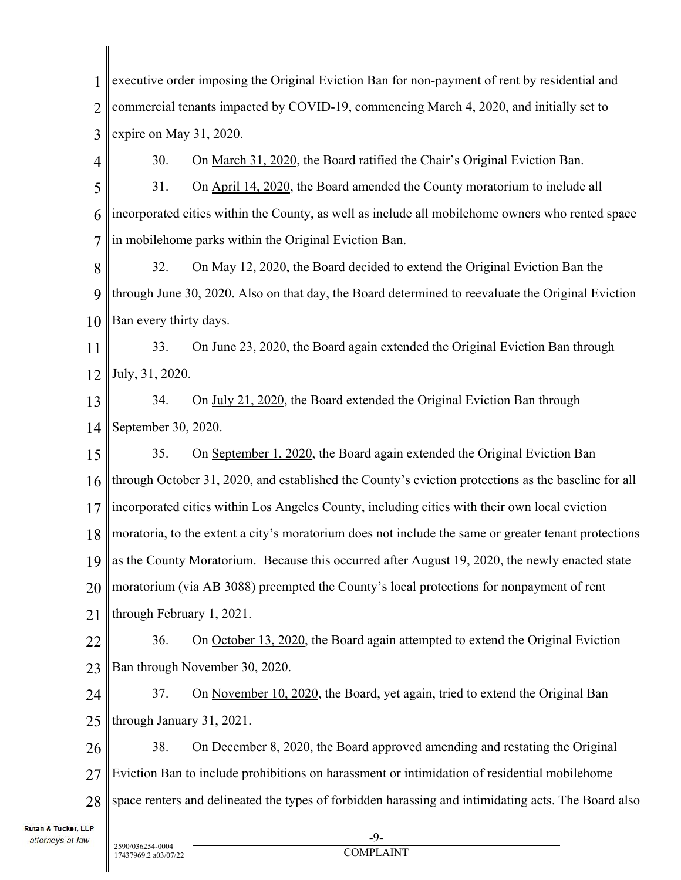1 2 3 4 5 6 7 8 9 10 11 12 13 14 15 16 17 18 19 20 21 22 23 24 25 26 27 28  $-9$ executive order imposing the Original Eviction Ban for non-payment of rent by residential and commercial tenants impacted by COVID-19, commencing March 4, 2020, and initially set to expire on May 31, 2020. 30. On March 31, 2020, the Board ratified the Chair's Original Eviction Ban. 31. On April 14, 2020, the Board amended the County moratorium to include all incorporated cities within the County, as well as include all mobilehome owners who rented space in mobilehome parks within the Original Eviction Ban. 32. On May 12, 2020, the Board decided to extend the Original Eviction Ban the through June 30, 2020. Also on that day, the Board determined to reevaluate the Original Eviction Ban every thirty days. 33. On June 23, 2020, the Board again extended the Original Eviction Ban through July, 31, 2020. 34. On July 21, 2020, the Board extended the Original Eviction Ban through September 30, 2020. 35. On September 1, 2020, the Board again extended the Original Eviction Ban through October 31, 2020, and established the County's eviction protections as the baseline for all incorporated cities within Los Angeles County, including cities with their own local eviction moratoria, to the extent a city's moratorium does not include the same or greater tenant protections as the County Moratorium. Because this occurred after August 19, 2020, the newly enacted state moratorium (via AB 3088) preempted the County's local protections for nonpayment of rent through February 1, 2021. 36. On October 13, 2020, the Board again attempted to extend the Original Eviction Ban through November 30, 2020. 37. On November 10, 2020, the Board, yet again, tried to extend the Original Ban through January 31, 2021. 38. On December 8, 2020, the Board approved amending and restating the Original Eviction Ban to include prohibitions on harassment or intimidation of residential mobilehome space renters and delineated the types of forbidden harassing and intimidating acts. The Board also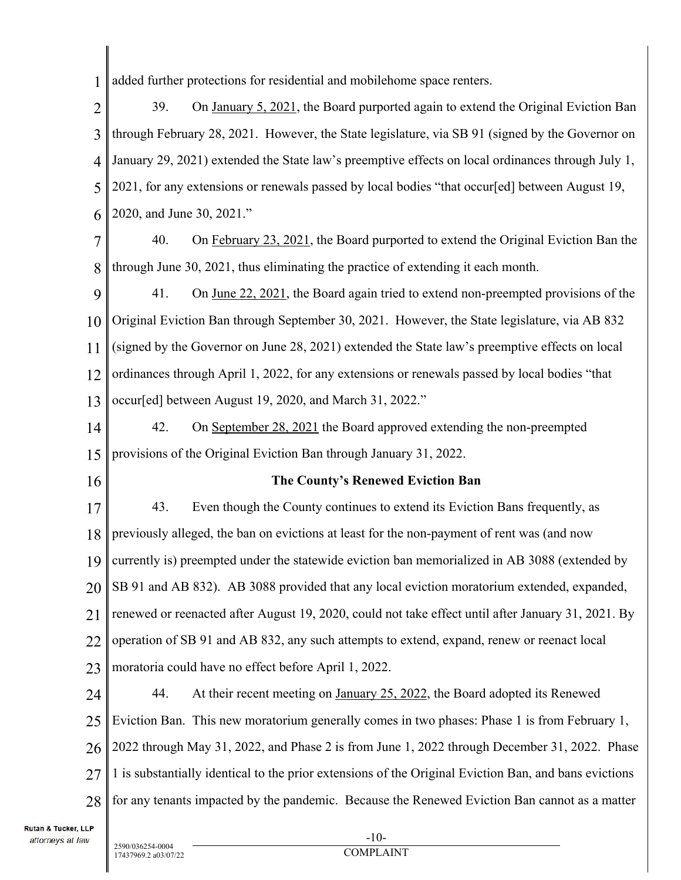1 added further protections for residential and mobilehome space renters.

2 3 4 5 6 39. On January 5, 2021, the Board purported again to extend the Original Eviction Ban through February 28, 2021. However, the State legislature, via SB 91 (signed by the Governor on January 29, 2021) extended the State law's preemptive effects on local ordinances through July 1, 2021, for any extensions or renewals passed by local bodies "that occur[ed] between August 19, 2020, and June 30, 2021."

7 8 40. On February 23, 2021, the Board purported to extend the Original Eviction Ban the through June 30, 2021, thus eliminating the practice of extending it each month.

9 10 11 12 13 41. On June 22, 2021, the Board again tried to extend non-preempted provisions of the Original Eviction Ban through September 30, 2021. However, the State legislature, via AB 832 (signed by the Governor on June 28, 2021) extended the State law's preemptive effects on local ordinances through April 1, 2022, for any extensions or renewals passed by local bodies "that occur[ed] between August 19, 2020, and March 31, 2022."

14 15 42. On September 28, 2021 the Board approved extending the non-preempted provisions of the Original Eviction Ban through January 31, 2022.

16

#### **The County's Renewed Eviction Ban**

17 18 19 20 21 22 23 43. Even though the County continues to extend its Eviction Bans frequently, as previously alleged, the ban on evictions at least for the non-payment of rent was (and now currently is) preempted under the statewide eviction ban memorialized in AB 3088 (extended by SB 91 and AB 832). AB 3088 provided that any local eviction moratorium extended, expanded, renewed or reenacted after August 19, 2020, could not take effect until after January 31, 2021. By operation of SB 91 and AB 832, any such attempts to extend, expand, renew or reenact local moratoria could have no effect before April 1, 2022.

24 25 26 27 28 44. At their recent meeting on January 25, 2022, the Board adopted its Renewed Eviction Ban. This new moratorium generally comes in two phases: Phase 1 is from February 1, 2022 through May 31, 2022, and Phase 2 is from June 1, 2022 through December 31, 2022. Phase 1 is substantially identical to the prior extensions of the Original Eviction Ban, and bans evictions for any tenants impacted by the pandemic. Because the Renewed Eviction Ban cannot as a matter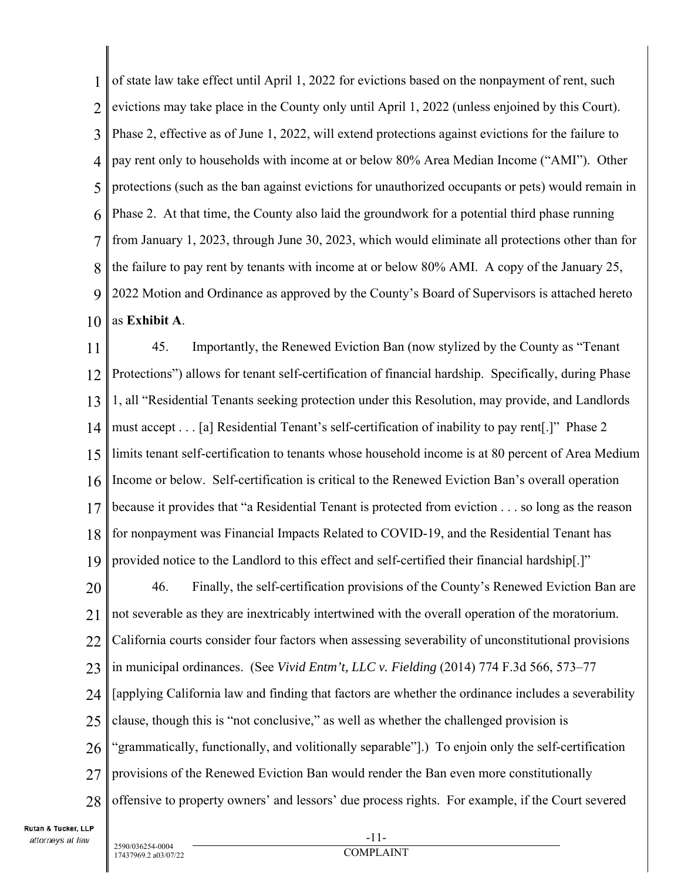1 2 3 4 5 6 7 8 9 10 of state law take effect until April 1, 2022 for evictions based on the nonpayment of rent, such evictions may take place in the County only until April 1, 2022 (unless enjoined by this Court). Phase 2, effective as of June 1, 2022, will extend protections against evictions for the failure to pay rent only to households with income at or below 80% Area Median Income ("AMI"). Other protections (such as the ban against evictions for unauthorized occupants or pets) would remain in Phase 2. At that time, the County also laid the groundwork for a potential third phase running from January 1, 2023, through June 30, 2023, which would eliminate all protections other than for the failure to pay rent by tenants with income at or below 80% AMI. A copy of the January 25, 2022 Motion and Ordinance as approved by the County's Board of Supervisors is attached hereto as **Exhibit A**.

11 12 13 14 15 16 17 18 19 20 21 22 23 24 25 26 27 28 45. Importantly, the Renewed Eviction Ban (now stylized by the County as "Tenant Protections") allows for tenant self-certification of financial hardship. Specifically, during Phase 1, all "Residential Tenants seeking protection under this Resolution, may provide, and Landlords must accept . . . [a] Residential Tenant's self-certification of inability to pay rent[.]" Phase 2 limits tenant self-certification to tenants whose household income is at 80 percent of Area Medium Income or below. Self-certification is critical to the Renewed Eviction Ban's overall operation because it provides that "a Residential Tenant is protected from eviction . . . so long as the reason for nonpayment was Financial Impacts Related to COVID-19, and the Residential Tenant has provided notice to the Landlord to this effect and self-certified their financial hardship[.]" 46. Finally, the self-certification provisions of the County's Renewed Eviction Ban are not severable as they are inextricably intertwined with the overall operation of the moratorium. California courts consider four factors when assessing severability of unconstitutional provisions in municipal ordinances. (See *Vivid Entm't, LLC v. Fielding* (2014) 774 F.3d 566, 573–77 [applying California law and finding that factors are whether the ordinance includes a severability clause, though this is "not conclusive," as well as whether the challenged provision is "grammatically, functionally, and volitionally separable"].) To enjoin only the self-certification provisions of the Renewed Eviction Ban would render the Ban even more constitutionally offensive to property owners' and lessors' due process rights. For example, if the Court severed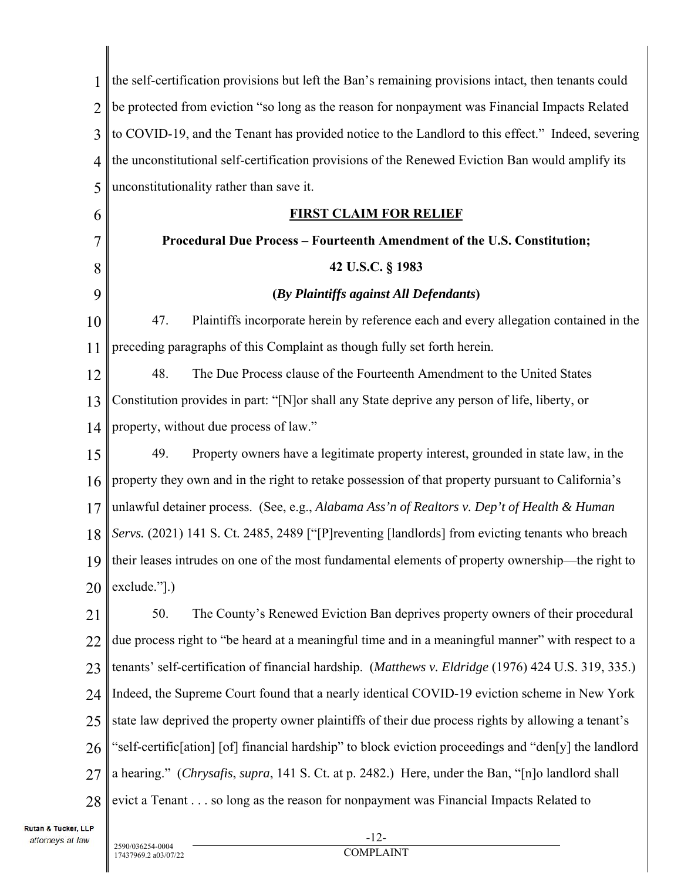| 1              | the self-certification provisions but left the Ban's remaining provisions intact, then tenants could   |  |
|----------------|--------------------------------------------------------------------------------------------------------|--|
| $\overline{2}$ | be protected from eviction "so long as the reason for nonpayment was Financial Impacts Related         |  |
| 3              | to COVID-19, and the Tenant has provided notice to the Landlord to this effect." Indeed, severing      |  |
| 4              | the unconstitutional self-certification provisions of the Renewed Eviction Ban would amplify its       |  |
| 5              | unconstitutionality rather than save it.                                                               |  |
| 6              | <b>FIRST CLAIM FOR RELIEF</b>                                                                          |  |
| 7              | Procedural Due Process - Fourteenth Amendment of the U.S. Constitution;                                |  |
| 8              | 42 U.S.C. § 1983                                                                                       |  |
| 9              | (By Plaintiffs against All Defendants)                                                                 |  |
| 10             | 47.<br>Plaintiffs incorporate herein by reference each and every allegation contained in the           |  |
| 11             | preceding paragraphs of this Complaint as though fully set forth herein.                               |  |
| 12             | 48.<br>The Due Process clause of the Fourteenth Amendment to the United States                         |  |
| 13             | Constitution provides in part: "[N] or shall any State deprive any person of life, liberty, or         |  |
| 14             | property, without due process of law."                                                                 |  |
| 15             | Property owners have a legitimate property interest, grounded in state law, in the<br>49.              |  |
| 16             | property they own and in the right to retake possession of that property pursuant to California's      |  |
| 17             | unlawful detainer process. (See, e.g., Alabama Ass'n of Realtors v. Dep't of Health & Human            |  |
| 18             | Servs. (2021) 141 S. Ct. 2485, 2489 ["[P] reventing [landlords] from evicting tenants who breach       |  |
|                | 19    their leases intrudes on one of the most fundamental elements of property ownership—the right to |  |
| 20             | exclude."[.)                                                                                           |  |
| 21             | 50.<br>The County's Renewed Eviction Ban deprives property owners of their procedural                  |  |
| 22             | due process right to "be heard at a meaningful time and in a meaningful manner" with respect to a      |  |
| 23             | tenants' self-certification of financial hardship. (Matthews v. Eldridge (1976) 424 U.S. 319, 335.)    |  |
| 24             | Indeed, the Supreme Court found that a nearly identical COVID-19 eviction scheme in New York           |  |
| 25             | state law deprived the property owner plaintiffs of their due process rights by allowing a tenant's    |  |
| 26             | "self-certific[ation] [of] financial hardship" to block eviction proceedings and "den[y] the landlord  |  |
| 27             | a hearing." (Chrysafis, supra, 141 S. Ct. at p. 2482.) Here, under the Ban, "[n]o landlord shall       |  |
| 28             | evict a Tenant so long as the reason for nonpayment was Financial Impacts Related to                   |  |
|                |                                                                                                        |  |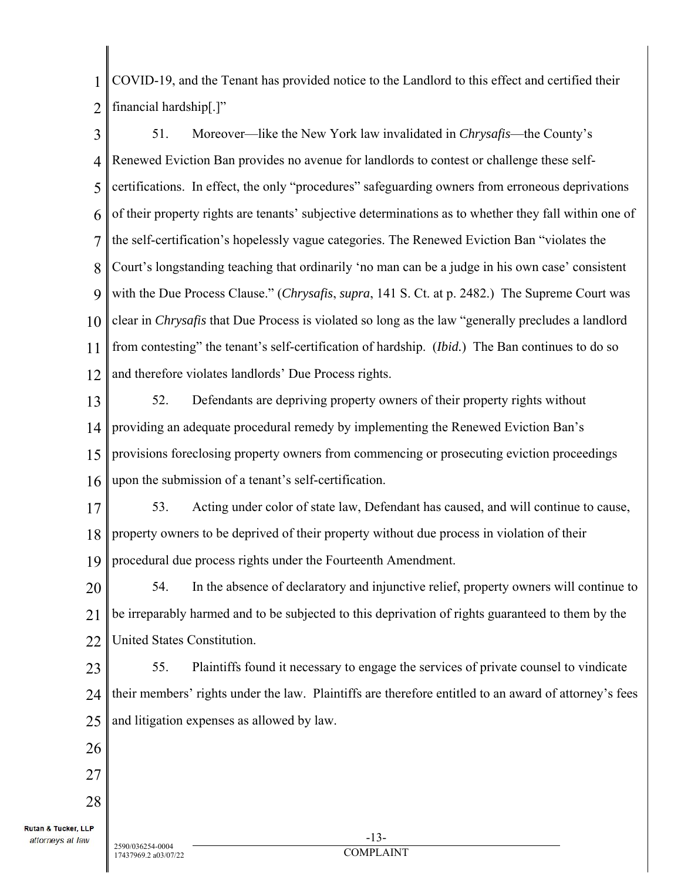1  $\mathcal{D}$ COVID-19, and the Tenant has provided notice to the Landlord to this effect and certified their financial hardship[.]"

3 4 5 6 7 8 9 10 11 12 51. Moreover—like the New York law invalidated in *Chrysafis*—the County's Renewed Eviction Ban provides no avenue for landlords to contest or challenge these selfcertifications. In effect, the only "procedures" safeguarding owners from erroneous deprivations of their property rights are tenants' subjective determinations as to whether they fall within one of the self-certification's hopelessly vague categories. The Renewed Eviction Ban "violates the Court's longstanding teaching that ordinarily 'no man can be a judge in his own case' consistent with the Due Process Clause." (*Chrysafis*, *supra*, 141 S. Ct. at p. 2482.) The Supreme Court was clear in *Chrysafis* that Due Process is violated so long as the law "generally precludes a landlord from contesting" the tenant's self-certification of hardship. (*Ibid.*) The Ban continues to do so and therefore violates landlords' Due Process rights.

13 14 15 16 52. Defendants are depriving property owners of their property rights without providing an adequate procedural remedy by implementing the Renewed Eviction Ban's provisions foreclosing property owners from commencing or prosecuting eviction proceedings upon the submission of a tenant's self-certification.

17 18 19 53. Acting under color of state law, Defendant has caused, and will continue to cause, property owners to be deprived of their property without due process in violation of their procedural due process rights under the Fourteenth Amendment.

20 21 22 54. In the absence of declaratory and injunctive relief, property owners will continue to be irreparably harmed and to be subjected to this deprivation of rights guaranteed to them by the United States Constitution.

23 24 25 55. Plaintiffs found it necessary to engage the services of private counsel to vindicate their members' rights under the law. Plaintiffs are therefore entitled to an award of attorney's fees and litigation expenses as allowed by law.

26 27

28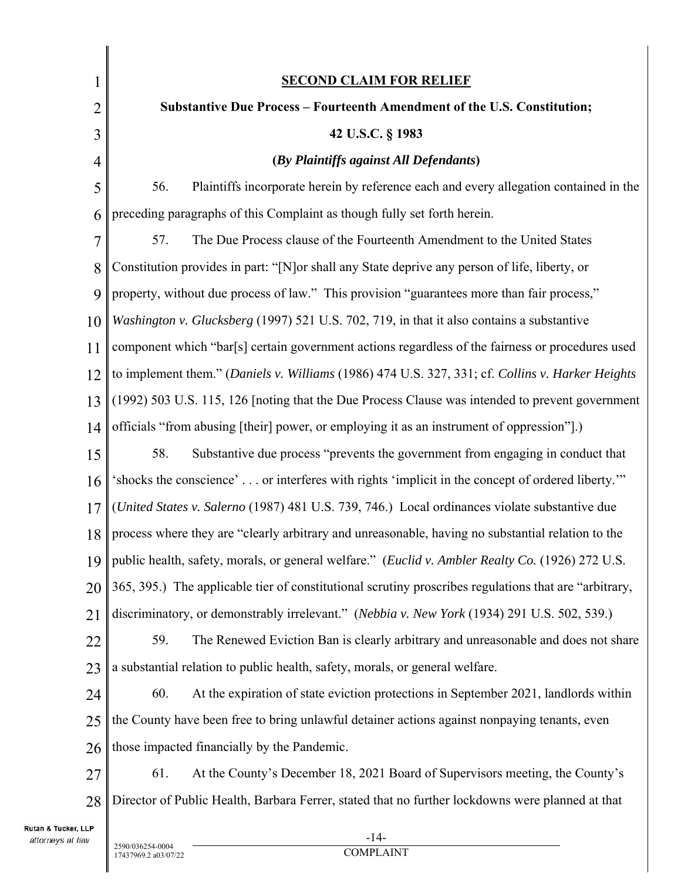| $\mathbf 1$    | <b>SECOND CLAIM FOR RELIEF</b>                                                                        |  |  |
|----------------|-------------------------------------------------------------------------------------------------------|--|--|
| $\overline{2}$ | <b>Substantive Due Process - Fourteenth Amendment of the U.S. Constitution;</b>                       |  |  |
| 3              | 42 U.S.C. § 1983                                                                                      |  |  |
| $\overline{4}$ | (By Plaintiffs against All Defendants)                                                                |  |  |
| 5              | Plaintiffs incorporate herein by reference each and every allegation contained in the<br>56.          |  |  |
| 6              | preceding paragraphs of this Complaint as though fully set forth herein.                              |  |  |
| 7              | The Due Process clause of the Fourteenth Amendment to the United States<br>57.                        |  |  |
| 8              | Constitution provides in part: "[N]or shall any State deprive any person of life, liberty, or         |  |  |
| 9              | property, without due process of law." This provision "guarantees more than fair process,"            |  |  |
| 10             | Washington v. Glucksberg (1997) 521 U.S. 702, 719, in that it also contains a substantive             |  |  |
| 11             | component which "bar[s] certain government actions regardless of the fairness or procedures used      |  |  |
| 12             | to implement them." (Daniels v. Williams (1986) 474 U.S. 327, 331; cf. Collins v. Harker Heights      |  |  |
| 13             | (1992) 503 U.S. 115, 126 [noting that the Due Process Clause was intended to prevent government       |  |  |
| 14             | officials "from abusing [their] power, or employing it as an instrument of oppression"].)             |  |  |
| 15             | Substantive due process "prevents the government from engaging in conduct that<br>58.                 |  |  |
| 16             | 'shocks the conscience' or interferes with rights 'implicit in the concept of ordered liberty."       |  |  |
| 17             | (United States v. Salerno (1987) 481 U.S. 739, 746.) Local ordinances violate substantive due         |  |  |
| 18             | process where they are "clearly arbitrary and unreasonable, having no substantial relation to the     |  |  |
|                | 19   public health, safety, morals, or general welfare." (Euclid v. Ambler Realty Co. (1926) 272 U.S. |  |  |
| 20             | 365, 395.) The applicable tier of constitutional scrutiny proscribes regulations that are "arbitrary, |  |  |
| 21             | discriminatory, or demonstrably irrelevant." (Nebbia v. New York (1934) 291 U.S. 502, 539.)           |  |  |
| 22             | The Renewed Eviction Ban is clearly arbitrary and unreasonable and does not share<br>59.              |  |  |
| 23             | a substantial relation to public health, safety, morals, or general welfare.                          |  |  |
| 24             | At the expiration of state eviction protections in September 2021, landlords within<br>60.            |  |  |
| 25             | the County have been free to bring unlawful detainer actions against nonpaying tenants, even          |  |  |
| 26             | those impacted financially by the Pandemic.                                                           |  |  |
| 27             | At the County's December 18, 2021 Board of Supervisors meeting, the County's<br>61.                   |  |  |
| 28             | Director of Public Health, Barbara Ferrer, stated that no further lockdowns were planned at that      |  |  |
| <b>LP</b>      |                                                                                                       |  |  |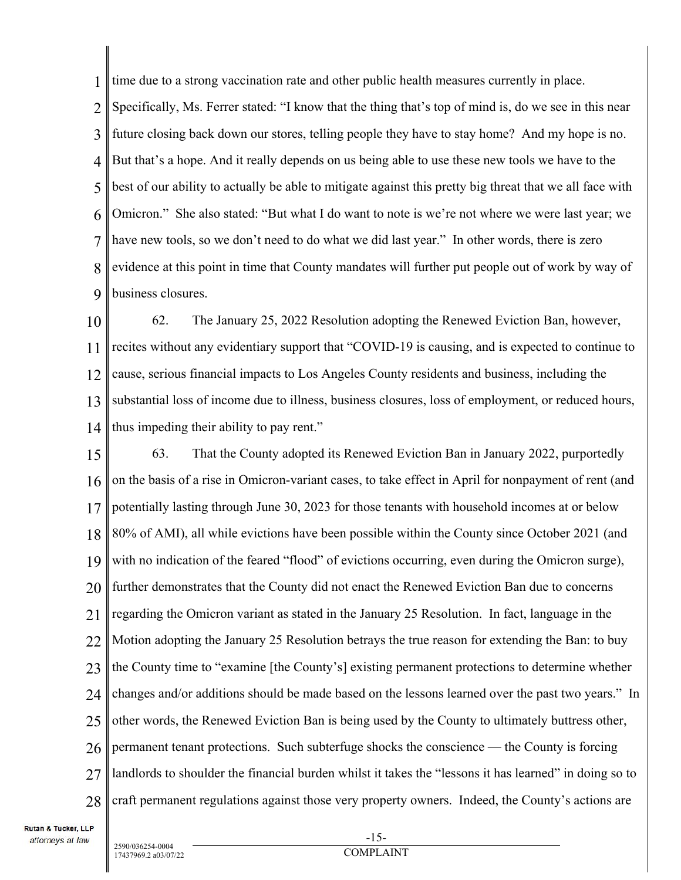1 time due to a strong vaccination rate and other public health measures currently in place.

2 3 4 5 6 7 8 9 Specifically, Ms. Ferrer stated: "I know that the thing that's top of mind is, do we see in this near future closing back down our stores, telling people they have to stay home? And my hope is no. But that's a hope. And it really depends on us being able to use these new tools we have to the best of our ability to actually be able to mitigate against this pretty big threat that we all face with Omicron." She also stated: "But what I do want to note is we're not where we were last year; we have new tools, so we don't need to do what we did last year." In other words, there is zero evidence at this point in time that County mandates will further put people out of work by way of business closures.

10 11 12 13 14 62. The January 25, 2022 Resolution adopting the Renewed Eviction Ban, however, recites without any evidentiary support that "COVID-19 is causing, and is expected to continue to cause, serious financial impacts to Los Angeles County residents and business, including the substantial loss of income due to illness, business closures, loss of employment, or reduced hours, thus impeding their ability to pay rent."

15 16 17 18 19 20 21 22 23 24 25 26 27 28 63. That the County adopted its Renewed Eviction Ban in January 2022, purportedly on the basis of a rise in Omicron-variant cases, to take effect in April for nonpayment of rent (and potentially lasting through June 30, 2023 for those tenants with household incomes at or below 80% of AMI), all while evictions have been possible within the County since October 2021 (and with no indication of the feared "flood" of evictions occurring, even during the Omicron surge), further demonstrates that the County did not enact the Renewed Eviction Ban due to concerns regarding the Omicron variant as stated in the January 25 Resolution. In fact, language in the Motion adopting the January 25 Resolution betrays the true reason for extending the Ban: to buy the County time to "examine [the County's] existing permanent protections to determine whether changes and/or additions should be made based on the lessons learned over the past two years." In other words, the Renewed Eviction Ban is being used by the County to ultimately buttress other, permanent tenant protections. Such subterfuge shocks the conscience — the County is forcing landlords to shoulder the financial burden whilst it takes the "lessons it has learned" in doing so to craft permanent regulations against those very property owners. Indeed, the County's actions are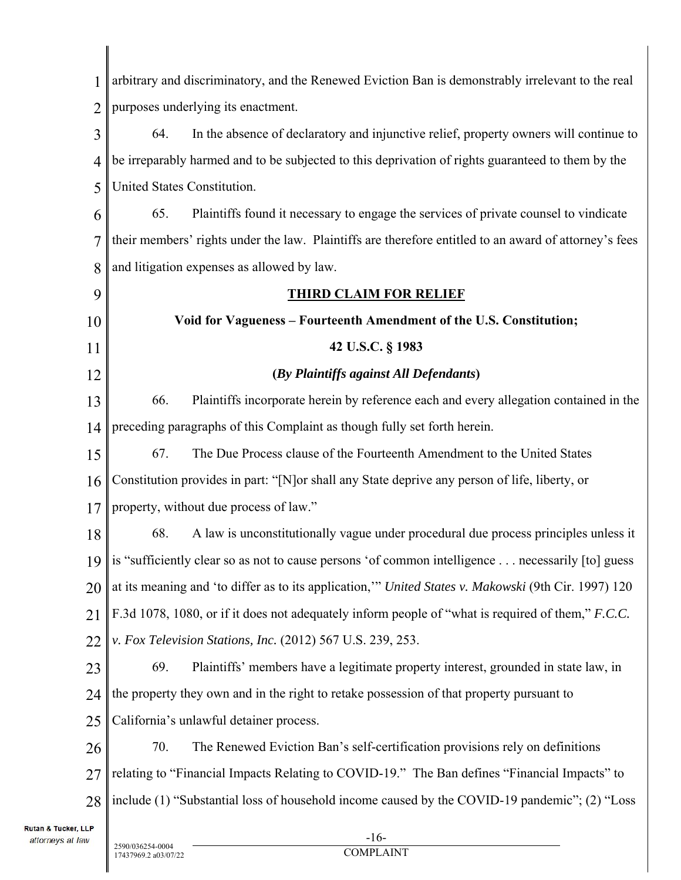1 2 3 4 5 6 7 8 9 10 11 12 13 14 15 16 17 18 19 20 21 22 23 24 25 26 27 28 -16 arbitrary and discriminatory, and the Renewed Eviction Ban is demonstrably irrelevant to the real purposes underlying its enactment. 64. In the absence of declaratory and injunctive relief, property owners will continue to be irreparably harmed and to be subjected to this deprivation of rights guaranteed to them by the United States Constitution. 65. Plaintiffs found it necessary to engage the services of private counsel to vindicate their members' rights under the law. Plaintiffs are therefore entitled to an award of attorney's fees and litigation expenses as allowed by law. **THIRD CLAIM FOR RELIEF Void for Vagueness – Fourteenth Amendment of the U.S. Constitution; 42 U.S.C. § 1983 (***By Plaintiffs against All Defendants***)**  66. Plaintiffs incorporate herein by reference each and every allegation contained in the preceding paragraphs of this Complaint as though fully set forth herein. 67. The Due Process clause of the Fourteenth Amendment to the United States Constitution provides in part: "[N]or shall any State deprive any person of life, liberty, or property, without due process of law." 68. A law is unconstitutionally vague under procedural due process principles unless it is "sufficiently clear so as not to cause persons 'of common intelligence . . . necessarily [to] guess at its meaning and 'to differ as to its application,'" *United States v. Makowski* (9th Cir. 1997) 120 F.3d 1078, 1080, or if it does not adequately inform people of "what is required of them," *F.C.C. v. Fox Television Stations, Inc.* (2012) 567 U.S. 239, 253. 69. Plaintiffs' members have a legitimate property interest, grounded in state law, in the property they own and in the right to retake possession of that property pursuant to California's unlawful detainer process. 70. The Renewed Eviction Ban's self-certification provisions rely on definitions relating to "Financial Impacts Relating to COVID-19." The Ban defines "Financial Impacts" to include (1) "Substantial loss of household income caused by the COVID-19 pandemic"; (2) "Loss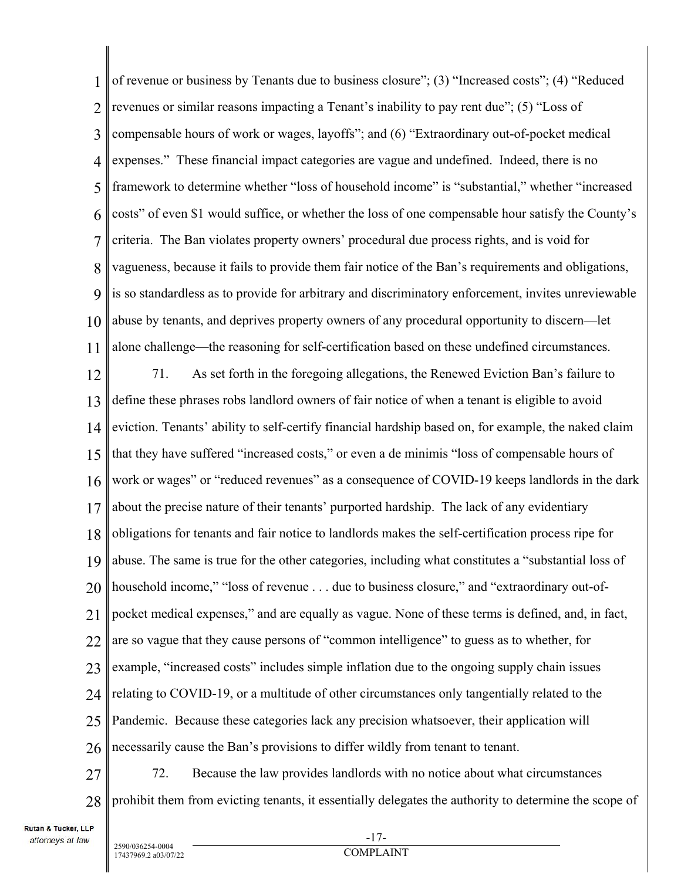1 2 3 4 5 6 7 8 9 10 11 of revenue or business by Tenants due to business closure"; (3) "Increased costs"; (4) "Reduced revenues or similar reasons impacting a Tenant's inability to pay rent due"; (5) "Loss of compensable hours of work or wages, layoffs"; and (6) "Extraordinary out-of-pocket medical expenses." These financial impact categories are vague and undefined. Indeed, there is no framework to determine whether "loss of household income" is "substantial," whether "increased costs" of even \$1 would suffice, or whether the loss of one compensable hour satisfy the County's criteria. The Ban violates property owners' procedural due process rights, and is void for vagueness, because it fails to provide them fair notice of the Ban's requirements and obligations, is so standardless as to provide for arbitrary and discriminatory enforcement, invites unreviewable abuse by tenants, and deprives property owners of any procedural opportunity to discern—let alone challenge—the reasoning for self-certification based on these undefined circumstances.

12 13 14 15 16 17 18 19 20 21 22 23 24 25 26 71. As set forth in the foregoing allegations, the Renewed Eviction Ban's failure to define these phrases robs landlord owners of fair notice of when a tenant is eligible to avoid eviction. Tenants' ability to self-certify financial hardship based on, for example, the naked claim that they have suffered "increased costs," or even a de minimis "loss of compensable hours of work or wages" or "reduced revenues" as a consequence of COVID-19 keeps landlords in the dark about the precise nature of their tenants' purported hardship. The lack of any evidentiary obligations for tenants and fair notice to landlords makes the self-certification process ripe for abuse. The same is true for the other categories, including what constitutes a "substantial loss of household income," "loss of revenue . . . due to business closure," and "extraordinary out-ofpocket medical expenses," and are equally as vague. None of these terms is defined, and, in fact, are so vague that they cause persons of "common intelligence" to guess as to whether, for example, "increased costs" includes simple inflation due to the ongoing supply chain issues relating to COVID-19, or a multitude of other circumstances only tangentially related to the Pandemic. Because these categories lack any precision whatsoever, their application will necessarily cause the Ban's provisions to differ wildly from tenant to tenant.

27 28 72. Because the law provides landlords with no notice about what circumstances prohibit them from evicting tenants, it essentially delegates the authority to determine the scope of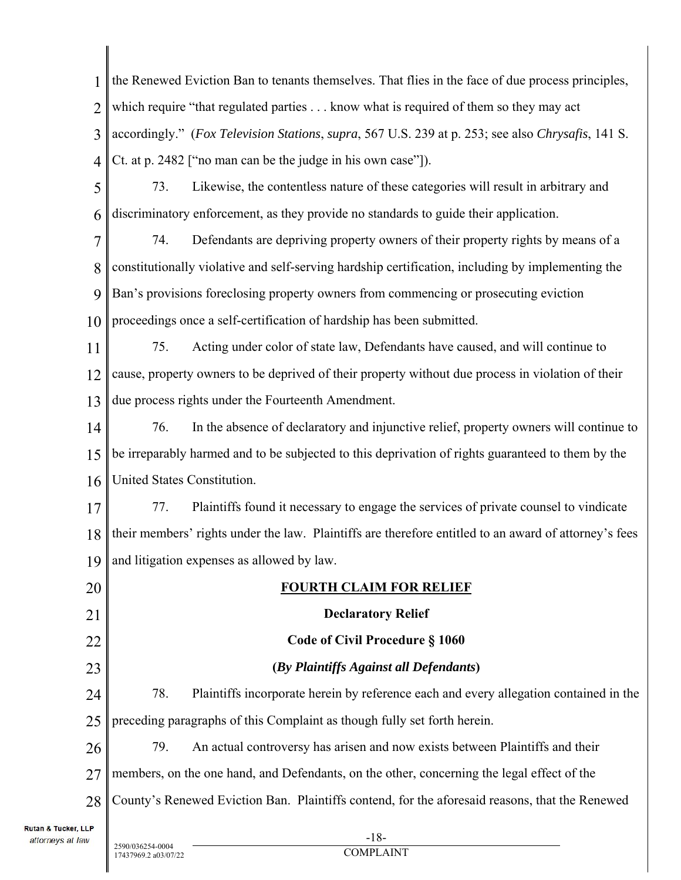| 1  | the Renewed Eviction Ban to tenants themselves. That flies in the face of due process principles,     |  |  |
|----|-------------------------------------------------------------------------------------------------------|--|--|
| 2  | which require "that regulated parties know what is required of them so they may act                   |  |  |
| 3  | accordingly." (Fox Television Stations, supra, 567 U.S. 239 at p. 253; see also Chrysafis, 141 S.     |  |  |
| 4  | Ct. at p. 2482 ["no man can be the judge in his own case"]).                                          |  |  |
| 5  | Likewise, the contentless nature of these categories will result in arbitrary and<br>73.              |  |  |
| 6  | discriminatory enforcement, as they provide no standards to guide their application.                  |  |  |
| 7  | 74.<br>Defendants are depriving property owners of their property rights by means of a                |  |  |
| 8  | constitutionally violative and self-serving hardship certification, including by implementing the     |  |  |
| 9  | Ban's provisions foreclosing property owners from commencing or prosecuting eviction                  |  |  |
| 10 | proceedings once a self-certification of hardship has been submitted.                                 |  |  |
| 11 | Acting under color of state law, Defendants have caused, and will continue to<br>75.                  |  |  |
| 12 | cause, property owners to be deprived of their property without due process in violation of their     |  |  |
| 13 | due process rights under the Fourteenth Amendment.                                                    |  |  |
| 14 | 76.<br>In the absence of declaratory and injunctive relief, property owners will continue to          |  |  |
| 15 | be irreparably harmed and to be subjected to this deprivation of rights guaranteed to them by the     |  |  |
| 16 | United States Constitution.                                                                           |  |  |
| 17 | Plaintiffs found it necessary to engage the services of private counsel to vindicate<br>77.           |  |  |
| 18 | their members' rights under the law. Plaintiffs are therefore entitled to an award of attorney's fees |  |  |
| 19 | and litigation expenses as allowed by law.                                                            |  |  |
| 20 | <b>FOURTH CLAIM FOR RELIEF</b>                                                                        |  |  |
| 21 | <b>Declaratory Relief</b>                                                                             |  |  |
| 22 | Code of Civil Procedure § 1060                                                                        |  |  |
| 23 | (By Plaintiffs Against all Defendants)                                                                |  |  |
| 24 | Plaintiffs incorporate herein by reference each and every allegation contained in the<br>78.          |  |  |
| 25 | preceding paragraphs of this Complaint as though fully set forth herein.                              |  |  |
| 26 | 79.<br>An actual controversy has arisen and now exists between Plaintiffs and their                   |  |  |
| 27 | members, on the one hand, and Defendants, on the other, concerning the legal effect of the            |  |  |
| 28 | County's Renewed Eviction Ban. Plaintiffs contend, for the aforesaid reasons, that the Renewed        |  |  |
| LР |                                                                                                       |  |  |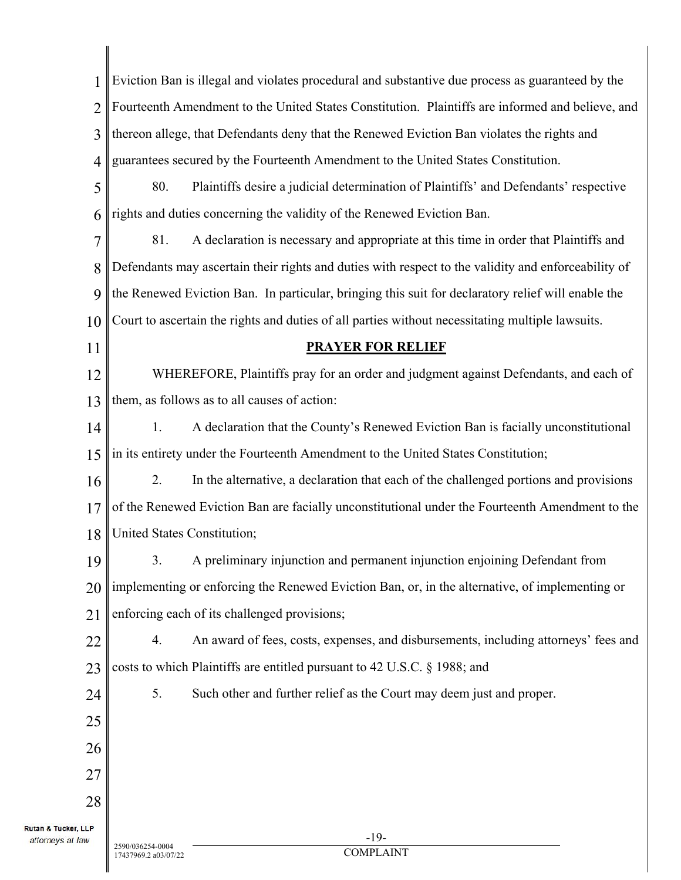| 1              | Eviction Ban is illegal and violates procedural and substantive due process as guaranteed by the    |  |  |
|----------------|-----------------------------------------------------------------------------------------------------|--|--|
| $\overline{2}$ | Fourteenth Amendment to the United States Constitution. Plaintiffs are informed and believe, and    |  |  |
| 3              | thereon allege, that Defendants deny that the Renewed Eviction Ban violates the rights and          |  |  |
| 4              | guarantees secured by the Fourteenth Amendment to the United States Constitution.                   |  |  |
| 5              | Plaintiffs desire a judicial determination of Plaintiffs' and Defendants' respective<br>80.         |  |  |
| 6              | rights and duties concerning the validity of the Renewed Eviction Ban.                              |  |  |
| $\overline{7}$ | 81.<br>A declaration is necessary and appropriate at this time in order that Plaintiffs and         |  |  |
| 8              | Defendants may ascertain their rights and duties with respect to the validity and enforceability of |  |  |
| 9              | the Renewed Eviction Ban. In particular, bringing this suit for declaratory relief will enable the  |  |  |
| 10             | Court to ascertain the rights and duties of all parties without necessitating multiple lawsuits.    |  |  |
| 11             | <b>PRAYER FOR RELIEF</b>                                                                            |  |  |
| 12             | WHEREFORE, Plaintiffs pray for an order and judgment against Defendants, and each of                |  |  |
| 13             | them, as follows as to all causes of action:                                                        |  |  |
| 14             | A declaration that the County's Renewed Eviction Ban is facially unconstitutional<br>1.             |  |  |
| 15             | in its entirety under the Fourteenth Amendment to the United States Constitution;                   |  |  |
| 16             | In the alternative, a declaration that each of the challenged portions and provisions<br>2.         |  |  |
| 17             | of the Renewed Eviction Ban are facially unconstitutional under the Fourteenth Amendment to the     |  |  |
| 18             | United States Constitution;                                                                         |  |  |
| 19             | A preliminary injunction and permanent injunction enjoining Defendant from<br>3.                    |  |  |
| 20             | implementing or enforcing the Renewed Eviction Ban, or, in the alternative, of implementing or      |  |  |
| 21             | enforcing each of its challenged provisions;                                                        |  |  |
| 22             | An award of fees, costs, expenses, and disbursements, including attorneys' fees and<br>4.           |  |  |
| 23             | costs to which Plaintiffs are entitled pursuant to 42 U.S.C. § 1988; and                            |  |  |
| 24             | 5.<br>Such other and further relief as the Court may deem just and proper.                          |  |  |
| 25             |                                                                                                     |  |  |
| 26             |                                                                                                     |  |  |
| 27             |                                                                                                     |  |  |
| 28             |                                                                                                     |  |  |
| , LLP<br>law   | $-19-$                                                                                              |  |  |
|                | 2590/036254-0004                                                                                    |  |  |

Rutan & Tucker, attorneys at

17437969.2 a03/07/22

Ш

 $\mathbf{I}$